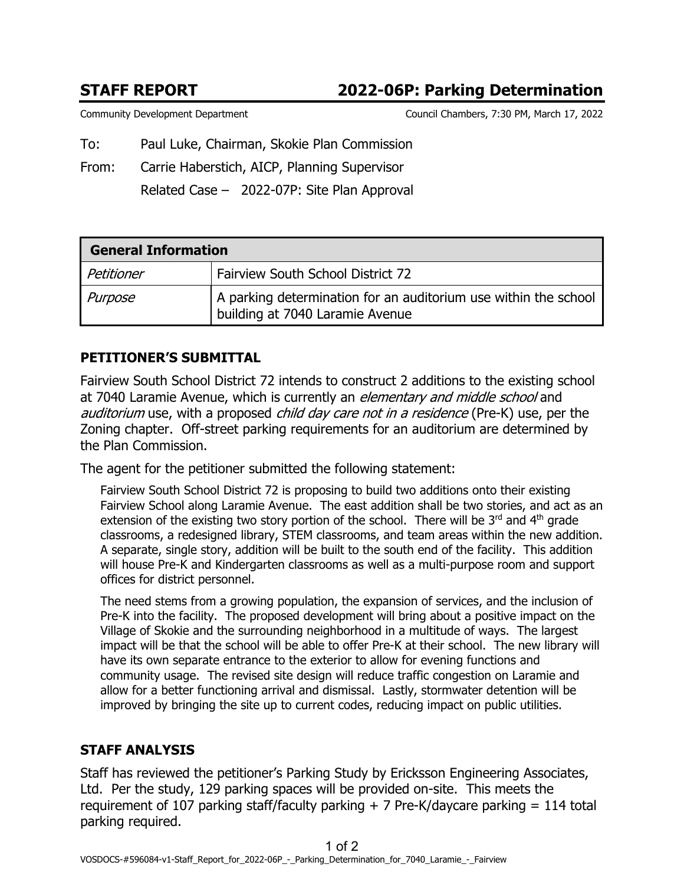# **STAFF REPORT 2022-06P: Parking Determination**

Community Development Department Council Chambers, 7:30 PM, March 17, 2022

To: Paul Luke, Chairman, Skokie Plan Commission

From: Carrie Haberstich, AICP, Planning Supervisor

Related Case – 2022-07P: Site Plan Approval

| <b>General Information</b> |                                                                                                    |
|----------------------------|----------------------------------------------------------------------------------------------------|
| Petitioner                 | Fairview South School District 72                                                                  |
| Purpose                    | A parking determination for an auditorium use within the school<br>building at 7040 Laramie Avenue |

## **PETITIONER'S SUBMITTAL**

Fairview South School District 72 intends to construct 2 additions to the existing school at 7040 Laramie Avenue, which is currently an *elementary and middle school* and auditorium use, with a proposed child day care not in a residence (Pre-K) use, per the Zoning chapter. Off-street parking requirements for an auditorium are determined by the Plan Commission.

The agent for the petitioner submitted the following statement:

Fairview South School District 72 is proposing to build two additions onto their existing Fairview School along Laramie Avenue. The east addition shall be two stories, and act as an extension of the existing two story portion of the school. There will be  $3<sup>rd</sup>$  and  $4<sup>th</sup>$  grade classrooms, a redesigned library, STEM classrooms, and team areas within the new addition. A separate, single story, addition will be built to the south end of the facility. This addition will house Pre-K and Kindergarten classrooms as well as a multi-purpose room and support offices for district personnel.

The need stems from a growing population, the expansion of services, and the inclusion of Pre-K into the facility. The proposed development will bring about a positive impact on the Village of Skokie and the surrounding neighborhood in a multitude of ways. The largest impact will be that the school will be able to offer Pre-K at their school. The new library will have its own separate entrance to the exterior to allow for evening functions and community usage. The revised site design will reduce traffic congestion on Laramie and allow for a better functioning arrival and dismissal. Lastly, stormwater detention will be improved by bringing the site up to current codes, reducing impact on public utilities.

## **STAFF ANALYSIS**

Staff has reviewed the petitioner's Parking Study by Ericksson Engineering Associates, Ltd. Per the study, 129 parking spaces will be provided on-site. This meets the requirement of 107 parking staff/faculty parking  $+$  7 Pre-K/daycare parking  $=$  114 total parking required.